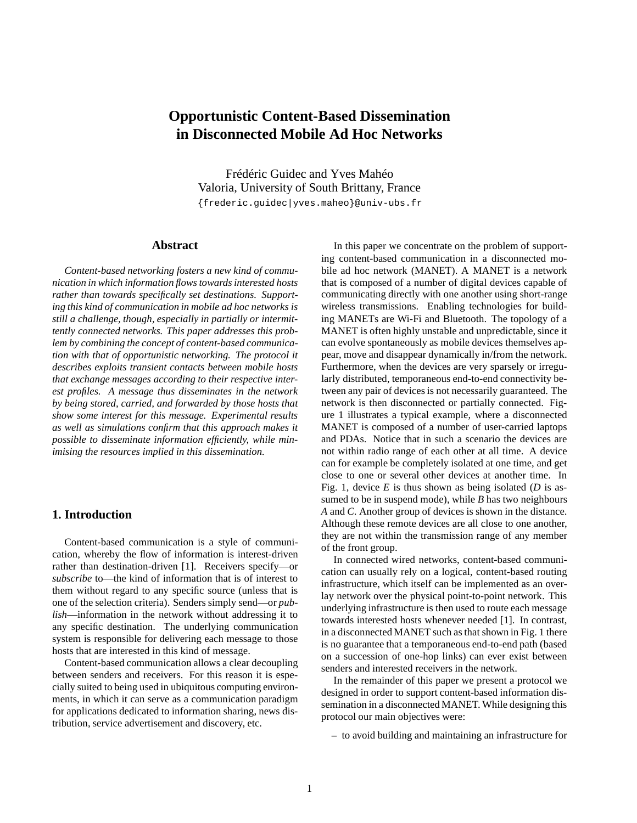# **Opportunistic Content-Based Dissemination in Disconnected Mobile Ad Hoc Networks**

Frédéric Guidec and Yves Mahéo Valoria, University of South Brittany, France {frederic.guidec|yves.maheo}@univ-ubs.fr

# **Abstract**

*Content-based networking fosters a new kind of communication in which information flows towards interested hosts rather than towards specifically set destinations. Supporting this kind of communication in mobile ad hoc networks is still a challenge, though, especially in partially or intermittently connected networks. This paper addresses this problem by combining the concept of content-based communication with that of opportunistic networking. The protocol it describes exploits transient contacts between mobile hosts that exchange messages according to their respective interest profiles. A message thus disseminates in the network by being stored, carried, and forwarded by those hosts that show some interest for this message. Experimental results as well as simulations confirm that this approach makes it possible to disseminate information efficiently, while minimising the resources implied in this dissemination.*

#### **1. Introduction**

Content-based communication is a style of communication, whereby the flow of information is interest-driven rather than destination-driven [1]. Receivers specify—or *subscribe* to—the kind of information that is of interest to them without regard to any specific source (unless that is one of the selection criteria). Senders simply send—or *publish*—information in the network without addressing it to any specific destination. The underlying communication system is responsible for delivering each message to those hosts that are interested in this kind of message.

Content-based communication allows a clear decoupling between senders and receivers. For this reason it is especially suited to being used in ubiquitous computing environments, in which it can serve as a communication paradigm for applications dedicated to information sharing, news distribution, service advertisement and discovery, etc.

In this paper we concentrate on the problem of supporting content-based communication in a disconnected mobile ad hoc network (MANET). A MANET is a network that is composed of a number of digital devices capable of communicating directly with one another using short-range wireless transmissions. Enabling technologies for building MANETs are Wi-Fi and Bluetooth. The topology of a MANET is often highly unstable and unpredictable, since it can evolve spontaneously as mobile devices themselves appear, move and disappear dynamically in/from the network. Furthermore, when the devices are very sparsely or irregularly distributed, temporaneous end-to-end connectivity between any pair of devices is not necessarily guaranteed. The network is then disconnected or partially connected. Figure 1 illustrates a typical example, where a disconnected MANET is composed of a number of user-carried laptops and PDAs. Notice that in such a scenario the devices are not within radio range of each other at all time. A device can for example be completely isolated at one time, and get close to one or several other devices at another time. In Fig. 1, device *E* is thus shown as being isolated (*D* is assumed to be in suspend mode), while *B* has two neighbours *A* and *C*. Another group of devices is shown in the distance. Although these remote devices are all close to one another, they are not within the transmission range of any member of the front group.

In connected wired networks, content-based communication can usually rely on a logical, content-based routing infrastructure, which itself can be implemented as an overlay network over the physical point-to-point network. This underlying infrastructure is then used to route each message towards interested hosts whenever needed [1]. In contrast, in a disconnected MANET such as that shown in Fig. 1 there is no guarantee that a temporaneous end-to-end path (based on a succession of one-hop links) can ever exist between senders and interested receivers in the network.

In the remainder of this paper we present a protocol we designed in order to support content-based information dissemination in a disconnected MANET. While designing this protocol our main objectives were:

**–** to avoid building and maintaining an infrastructure for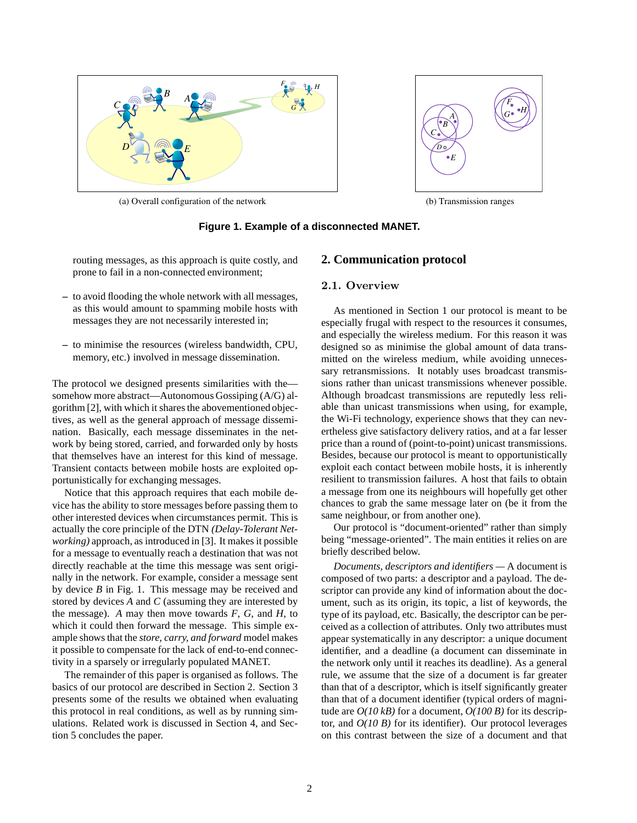

*A B C*  $\bm{D}$  o  $E$ *F G H*

(a) Overall configuration of the network (b) Transmission ranges

# **Figure 1. Example of a disconnected MANET.**

routing messages, as this approach is quite costly, and prone to fail in a non-connected environment;

- **–** to avoid flooding the whole network with all messages, as this would amount to spamming mobile hosts with messages they are not necessarily interested in;
- **–** to minimise the resources (wireless bandwidth, CPU, memory, etc.) involved in message dissemination.

The protocol we designed presents similarities with the somehow more abstract—Autonomous Gossiping (A/G) algorithm [2], with which it shares the abovementioned objectives, as well as the general approach of message dissemination. Basically, each message disseminates in the network by being stored, carried, and forwarded only by hosts that themselves have an interest for this kind of message. Transient contacts between mobile hosts are exploited opportunistically for exchanging messages.

Notice that this approach requires that each mobile device has the ability to store messages before passing them to other interested devices when circumstances permit. This is actually the core principle of the DTN *(Delay-Tolerant Networking)* approach, as introduced in [3]. It makes it possible for a message to eventually reach a destination that was not directly reachable at the time this message was sent originally in the network. For example, consider a message sent by device *B* in Fig. 1. This message may be received and stored by devices *A* and *C* (assuming they are interested by the message). *A* may then move towards *F*, *G*, and *H*, to which it could then forward the message. This simple example shows that the *store, carry, and forward* model makes it possible to compensate for the lack of end-to-end connectivity in a sparsely or irregularly populated MANET.

The remainder of this paper is organised as follows. The basics of our protocol are described in Section 2. Section 3 presents some of the results we obtained when evaluating this protocol in real conditions, as well as by running simulations. Related work is discussed in Section 4, and Section 5 concludes the paper.

# **2. Communication protocol**

### 2.1. Overview

As mentioned in Section 1 our protocol is meant to be especially frugal with respect to the resources it consumes, and especially the wireless medium. For this reason it was designed so as minimise the global amount of data transmitted on the wireless medium, while avoiding unnecessary retransmissions. It notably uses broadcast transmissions rather than unicast transmissions whenever possible. Although broadcast transmissions are reputedly less reliable than unicast transmissions when using, for example, the Wi-Fi technology, experience shows that they can nevertheless give satisfactory delivery ratios, and at a far lesser price than a round of (point-to-point) unicast transmissions. Besides, because our protocol is meant to opportunistically exploit each contact between mobile hosts, it is inherently resilient to transmission failures. A host that fails to obtain a message from one its neighbours will hopefully get other chances to grab the same message later on (be it from the same neighbour, or from another one).

Our protocol is "document-oriented" rather than simply being "message-oriented". The main entities it relies on are briefly described below.

*Documents, descriptors and identifiers —* A document is composed of two parts: a descriptor and a payload. The descriptor can provide any kind of information about the document, such as its origin, its topic, a list of keywords, the type of its payload, etc. Basically, the descriptor can be perceived as a collection of attributes. Only two attributes must appear systematically in any descriptor: a unique document identifier, and a deadline (a document can disseminate in the network only until it reaches its deadline). As a general rule, we assume that the size of a document is far greater than that of a descriptor, which is itself significantly greater than that of a document identifier (typical orders of magnitude are *O(10 kB)* for a document, *O(100 B)* for its descriptor, and *O(10 B)* for its identifier). Our protocol leverages on this contrast between the size of a document and that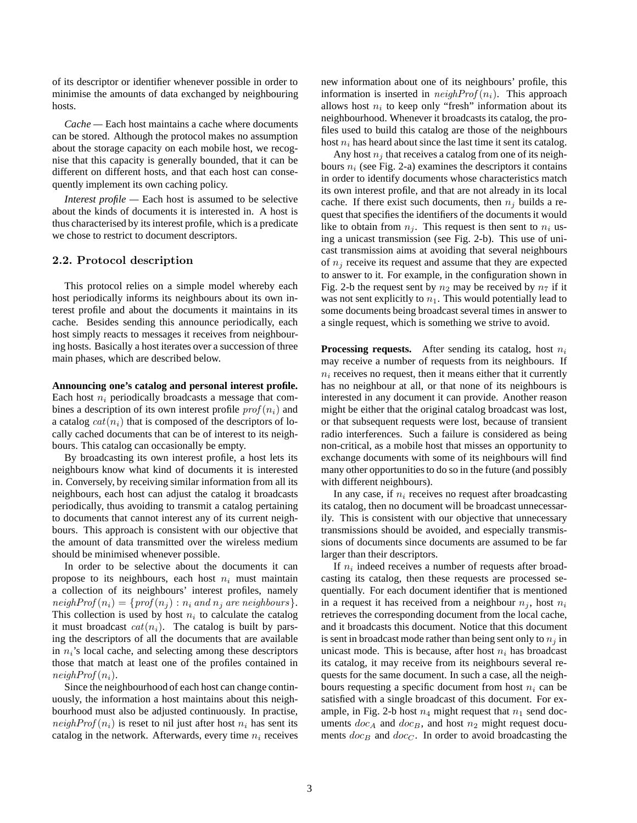of its descriptor or identifier whenever possible in order to minimise the amounts of data exchanged by neighbouring hosts.

*Cache —* Each host maintains a cache where documents can be stored. Although the protocol makes no assumption about the storage capacity on each mobile host, we recognise that this capacity is generally bounded, that it can be different on different hosts, and that each host can consequently implement its own caching policy.

*Interest profile —* Each host is assumed to be selective about the kinds of documents it is interested in. A host is thus characterised by its interest profile, which is a predicate we chose to restrict to document descriptors.

#### 2.2. Protocol description

This protocol relies on a simple model whereby each host periodically informs its neighbours about its own interest profile and about the documents it maintains in its cache. Besides sending this announce periodically, each host simply reacts to messages it receives from neighbouring hosts. Basically a host iterates over a succession of three main phases, which are described below.

#### **Announcing one's catalog and personal interest profile.**

Each host  $n_i$  periodically broadcasts a message that combines a description of its own interest profile  $\text{prof}(n_i)$  and a catalog  $cat(n_i)$  that is composed of the descriptors of locally cached documents that can be of interest to its neighbours. This catalog can occasionally be empty.

By broadcasting its own interest profile, a host lets its neighbours know what kind of documents it is interested in. Conversely, by receiving similar information from all its neighbours, each host can adjust the catalog it broadcasts periodically, thus avoiding to transmit a catalog pertaining to documents that cannot interest any of its current neighbours. This approach is consistent with our objective that the amount of data transmitted over the wireless medium should be minimised whenever possible.

In order to be selective about the documents it can propose to its neighbours, each host  $n_i$  must maintain a collection of its neighbours' interest profiles, namely  $neighbor(f(n_i) = \{ prof(n_i) : n_i \text{ and } n_i \text{ are neighbors}\}.$ This collection is used by host  $n_i$  to calculate the catalog it must broadcast  $cat(n_i)$ . The catalog is built by parsing the descriptors of all the documents that are available in  $n_i$ 's local cache, and selecting among these descriptors those that match at least one of the profiles contained in  $neighProf(n_i)$ .

Since the neighbourhood of each host can change continuously, the information a host maintains about this neighbourhood must also be adjusted continuously. In practise,  $neighbor(f(n_i))$  is reset to nil just after host  $n_i$  has sent its catalog in the network. Afterwards, every time  $n_i$  receives new information about one of its neighbours' profile, this information is inserted in  $neighbor(f(i))$ . This approach allows host  $n_i$  to keep only "fresh" information about its neighbourhood. Whenever it broadcasts its catalog, the profiles used to build this catalog are those of the neighbours host  $n_i$  has heard about since the last time it sent its catalog.

Any host  $n_j$  that receives a catalog from one of its neighbours  $n_i$  (see Fig. 2-a) examines the descriptors it contains in order to identify documents whose characteristics match its own interest profile, and that are not already in its local cache. If there exist such documents, then  $n_j$  builds a request that specifies the identifiers of the documents it would like to obtain from  $n_i$ . This request is then sent to  $n_i$  using a unicast transmission (see Fig. 2-b). This use of unicast transmission aims at avoiding that several neighbours of  $n_i$  receive its request and assume that they are expected to answer to it. For example, in the configuration shown in Fig. 2-b the request sent by  $n_2$  may be received by  $n_7$  if it was not sent explicitly to  $n_1$ . This would potentially lead to some documents being broadcast several times in answer to a single request, which is something we strive to avoid.

**Processing requests.** After sending its catalog, host  $n_i$ may receive a number of requests from its neighbours. If  $n_i$  receives no request, then it means either that it currently has no neighbour at all, or that none of its neighbours is interested in any document it can provide. Another reason might be either that the original catalog broadcast was lost, or that subsequent requests were lost, because of transient radio interferences. Such a failure is considered as being non-critical, as a mobile host that misses an opportunity to exchange documents with some of its neighbours will find many other opportunities to do so in the future (and possibly with different neighbours).

In any case, if  $n_i$  receives no request after broadcasting its catalog, then no document will be broadcast unnecessarily. This is consistent with our objective that unnecessary transmissions should be avoided, and especially transmissions of documents since documents are assumed to be far larger than their descriptors.

If  $n_i$  indeed receives a number of requests after broadcasting its catalog, then these requests are processed sequentially. For each document identifier that is mentioned in a request it has received from a neighbour  $n_i$ , host  $n_i$ retrieves the corresponding document from the local cache, and it broadcasts this document. Notice that this document is sent in broadcast mode rather than being sent only to  $n_i$  in unicast mode. This is because, after host  $n_i$  has broadcast its catalog, it may receive from its neighbours several requests for the same document. In such a case, all the neighbours requesting a specific document from host  $n_i$  can be satisfied with a single broadcast of this document. For example, in Fig. 2-b host  $n_4$  might request that  $n_1$  send documents  $doc_A$  and  $doc_B$ , and host  $n_2$  might request documents  $doc_B$  and  $doc_C$ . In order to avoid broadcasting the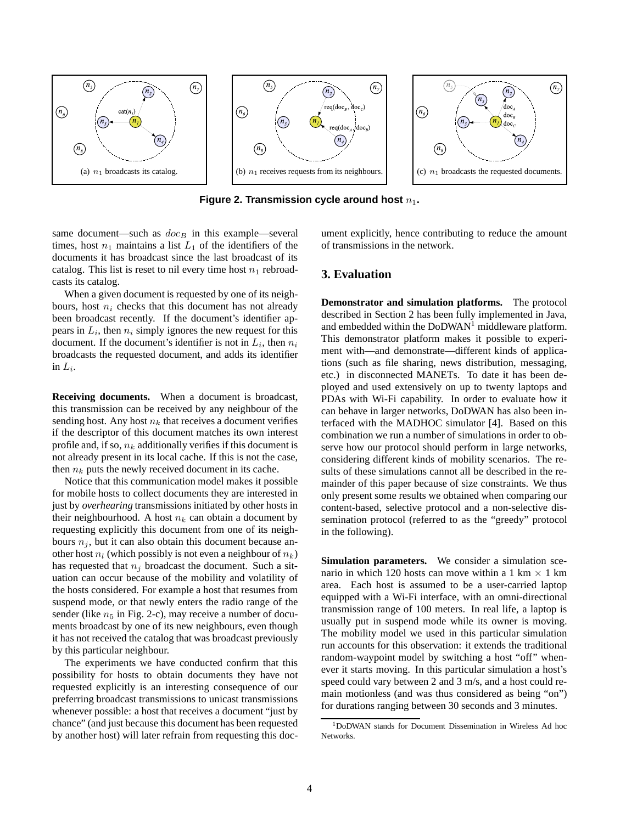

**Figure 2. Transmission cycle around host**  $n_1$ .

same document—such as  $doc_B$  in this example—several times, host  $n_1$  maintains a list  $L_1$  of the identifiers of the documents it has broadcast since the last broadcast of its catalog. This list is reset to nil every time host  $n_1$  rebroadcasts its catalog.

When a given document is requested by one of its neighbours, host  $n_i$  checks that this document has not already been broadcast recently. If the document's identifier appears in  $L_i$ , then  $n_i$  simply ignores the new request for this document. If the document's identifier is not in  $L_i$ , then  $n_i$ broadcasts the requested document, and adds its identifier in  $L_i$ .

**Receiving documents.** When a document is broadcast, this transmission can be received by any neighbour of the sending host. Any host  $n_k$  that receives a document verifies if the descriptor of this document matches its own interest profile and, if so,  $n_k$  additionally verifies if this document is not already present in its local cache. If this is not the case, then  $n_k$  puts the newly received document in its cache.

Notice that this communication model makes it possible for mobile hosts to collect documents they are interested in just by *overhearing* transmissions initiated by other hosts in their neighbourhood. A host  $n_k$  can obtain a document by requesting explicitly this document from one of its neighbours  $n<sub>j</sub>$ , but it can also obtain this document because another host  $n_l$  (which possibly is not even a neighbour of  $n_k$ ) has requested that  $n_j$  broadcast the document. Such a situation can occur because of the mobility and volatility of the hosts considered. For example a host that resumes from suspend mode, or that newly enters the radio range of the sender (like  $n_5$  in Fig. 2-c), may receive a number of documents broadcast by one of its new neighbours, even though it has not received the catalog that was broadcast previously by this particular neighbour.

The experiments we have conducted confirm that this possibility for hosts to obtain documents they have not requested explicitly is an interesting consequence of our preferring broadcast transmissions to unicast transmissions whenever possible: a host that receives a document "just by chance" (and just because this document has been requested by another host) will later refrain from requesting this document explicitly, hence contributing to reduce the amount of transmissions in the network.

### **3. Evaluation**

**Demonstrator and simulation platforms.** The protocol described in Section 2 has been fully implemented in Java, and embedded within the  $DoDWAN<sup>1</sup>$  middleware platform. This demonstrator platform makes it possible to experiment with—and demonstrate—different kinds of applications (such as file sharing, news distribution, messaging, etc.) in disconnected MANETs. To date it has been deployed and used extensively on up to twenty laptops and PDAs with Wi-Fi capability. In order to evaluate how it can behave in larger networks, DoDWAN has also been interfaced with the MADHOC simulator [4]. Based on this combination we run a number of simulations in order to observe how our protocol should perform in large networks, considering different kinds of mobility scenarios. The results of these simulations cannot all be described in the remainder of this paper because of size constraints. We thus only present some results we obtained when comparing our content-based, selective protocol and a non-selective dissemination protocol (referred to as the "greedy" protocol in the following).

**Simulation parameters.** We consider a simulation scenario in which 120 hosts can move within a 1 km  $\times$  1 km area. Each host is assumed to be a user-carried laptop equipped with a Wi-Fi interface, with an omni-directional transmission range of 100 meters. In real life, a laptop is usually put in suspend mode while its owner is moving. The mobility model we used in this particular simulation run accounts for this observation: it extends the traditional random-waypoint model by switching a host "off" whenever it starts moving. In this particular simulation a host's speed could vary between 2 and 3 m/s, and a host could remain motionless (and was thus considered as being "on") for durations ranging between 30 seconds and 3 minutes.

<sup>1</sup>DoDWAN stands for Document Dissemination in Wireless Ad hoc Networks.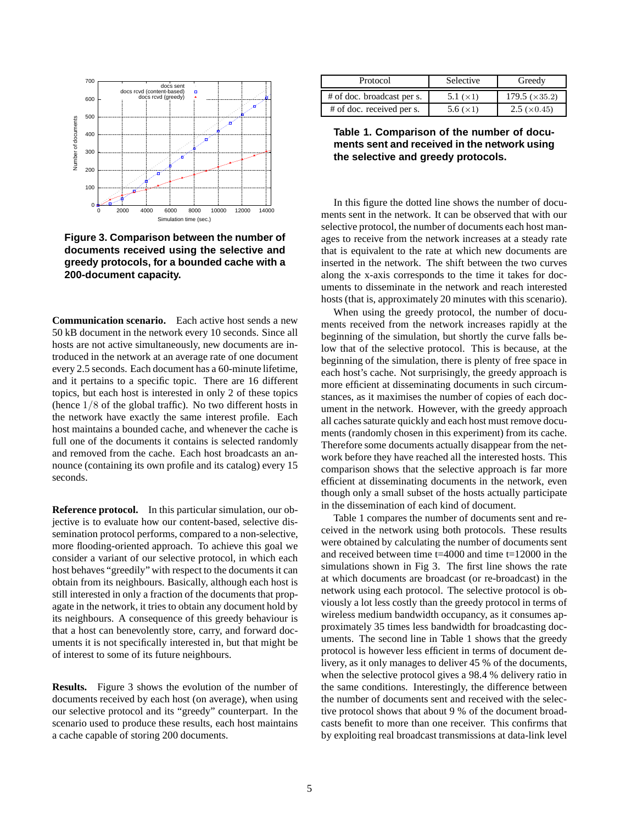

**Figure 3. Comparison between the number of documents received using the selective and greedy protocols, for a bounded cache with a 200-document capacity.**

**Communication scenario.** Each active host sends a new 50 kB document in the network every 10 seconds. Since all hosts are not active simultaneously, new documents are introduced in the network at an average rate of one document every 2.5 seconds. Each document has a 60-minute lifetime, and it pertains to a specific topic. There are 16 different topics, but each host is interested in only 2 of these topics (hence 1/8 of the global traffic). No two different hosts in the network have exactly the same interest profile. Each host maintains a bounded cache, and whenever the cache is full one of the documents it contains is selected randomly and removed from the cache. Each host broadcasts an announce (containing its own profile and its catalog) every 15 seconds.

**Reference protocol.** In this particular simulation, our objective is to evaluate how our content-based, selective dissemination protocol performs, compared to a non-selective, more flooding-oriented approach. To achieve this goal we consider a variant of our selective protocol, in which each host behaves "greedily" with respect to the documents it can obtain from its neighbours. Basically, although each host is still interested in only a fraction of the documents that propagate in the network, it tries to obtain any document hold by its neighbours. A consequence of this greedy behaviour is that a host can benevolently store, carry, and forward documents it is not specifically interested in, but that might be of interest to some of its future neighbours.

**Results.** Figure 3 shows the evolution of the number of documents received by each host (on average), when using our selective protocol and its "greedy" counterpart. In the scenario used to produce these results, each host maintains a cache capable of storing 200 documents.

| Protocol                   | <b>Selective</b> | Greedy                   |
|----------------------------|------------------|--------------------------|
| # of doc. broadcast per s. | 5.1 $(\times 1)$ | $179.5 \; (\times 35.2)$ |
| # of doc. received per s.  | 5.6 $(\times 1)$ | $2.5 \times 0.45$        |

**Table 1. Comparison of the number of documents sent and received in the network using the selective and greedy protocols.**

In this figure the dotted line shows the number of documents sent in the network. It can be observed that with our selective protocol, the number of documents each host manages to receive from the network increases at a steady rate that is equivalent to the rate at which new documents are inserted in the network. The shift between the two curves along the x-axis corresponds to the time it takes for documents to disseminate in the network and reach interested hosts (that is, approximately 20 minutes with this scenario).

When using the greedy protocol, the number of documents received from the network increases rapidly at the beginning of the simulation, but shortly the curve falls below that of the selective protocol. This is because, at the beginning of the simulation, there is plenty of free space in each host's cache. Not surprisingly, the greedy approach is more efficient at disseminating documents in such circumstances, as it maximises the number of copies of each document in the network. However, with the greedy approach all caches saturate quickly and each host must remove documents (randomly chosen in this experiment) from its cache. Therefore some documents actually disappear from the network before they have reached all the interested hosts. This comparison shows that the selective approach is far more efficient at disseminating documents in the network, even though only a small subset of the hosts actually participate in the dissemination of each kind of document.

Table 1 compares the number of documents sent and received in the network using both protocols. These results were obtained by calculating the number of documents sent and received between time t=4000 and time t=12000 in the simulations shown in Fig 3. The first line shows the rate at which documents are broadcast (or re-broadcast) in the network using each protocol. The selective protocol is obviously a lot less costly than the greedy protocol in terms of wireless medium bandwidth occupancy, as it consumes approximately 35 times less bandwidth for broadcasting documents. The second line in Table 1 shows that the greedy protocol is however less efficient in terms of document delivery, as it only manages to deliver 45 % of the documents, when the selective protocol gives a 98.4 % delivery ratio in the same conditions. Interestingly, the difference between the number of documents sent and received with the selective protocol shows that about 9 % of the document broadcasts benefit to more than one receiver. This confirms that by exploiting real broadcast transmissions at data-link level